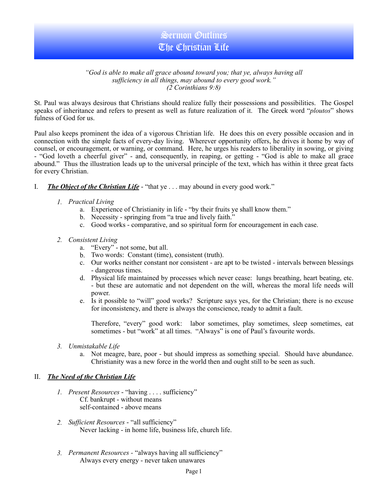# Sermon Outlines The Christian Life

#### *"God is able to make all grace abound toward you; that ye, always having all sufficiency in all things, may abound to every good work." (2 Corinthians 9:8)*

St. Paul was always desirous that Christians should realize fully their possessions and possibilities. The Gospel speaks of inheritance and refers to present as well as future realization of it. The Greek word "*ploutos*" shows fulness of God for us.

Paul also keeps prominent the idea of a vigorous Christian life. He does this on every possible occasion and in connection with the simple facts of every-day living. Wherever opportunity offers, he drives it home by way of counsel, or encouragement, or warning, or command. Here, he urges his readers to liberality in sowing, or giving - "God loveth a cheerful giver" - and, consequently, in reaping, or getting - "God is able to make all grace abound." Thus the illustration leads up to the universal principle of the text, which has within it three great facts for every Christian.

- I. *The Object of the Christian Life* "that ye . . . may abound in every good work."
	- *1. Practical Living*
		- a. Experience of Christianity in life "by their fruits ye shall know them."
		- b. Necessity springing from "a true and lively faith."
		- c. Good works comparative, and so spiritual form for encouragement in each case.

#### *2. Consistent Living*

- a. "Every" not some, but all.
- b. Two words: Constant (time), consistent (truth).
- c. Our works neither constant nor consistent are apt to be twisted intervals between blessings - dangerous times.
- d. Physical life maintained by processes which never cease: lungs breathing, heart beating, etc. - but these are automatic and not dependent on the will, whereas the moral life needs will power.
- e. Is it possible to "will" good works? Scripture says yes, for the Christian; there is no excuse for inconsistency, and there is always the conscience, ready to admit a fault.

Therefore, "every" good work: labor sometimes, play sometimes, sleep sometimes, eat sometimes - but "work" at all times. "Always" is one of Paul's favourite words.

- *3. Unmistakable Life*
	- a. Not meagre, bare, poor but should impress as something special. Should have abundance. Christianity was a new force in the world then and ought still to be seen as such.

### II. *The Need of the Christian Life*

- *1. Present Resources* "having . . . . sufficiency" Cf. bankrupt - without means self-contained - above means
- *2. Sufficient Resources* "all sufficiency" Never lacking - in home life, business life, church life.
- *3. Permanent Resources* "always having all sufficiency" Always every energy - never taken unawares